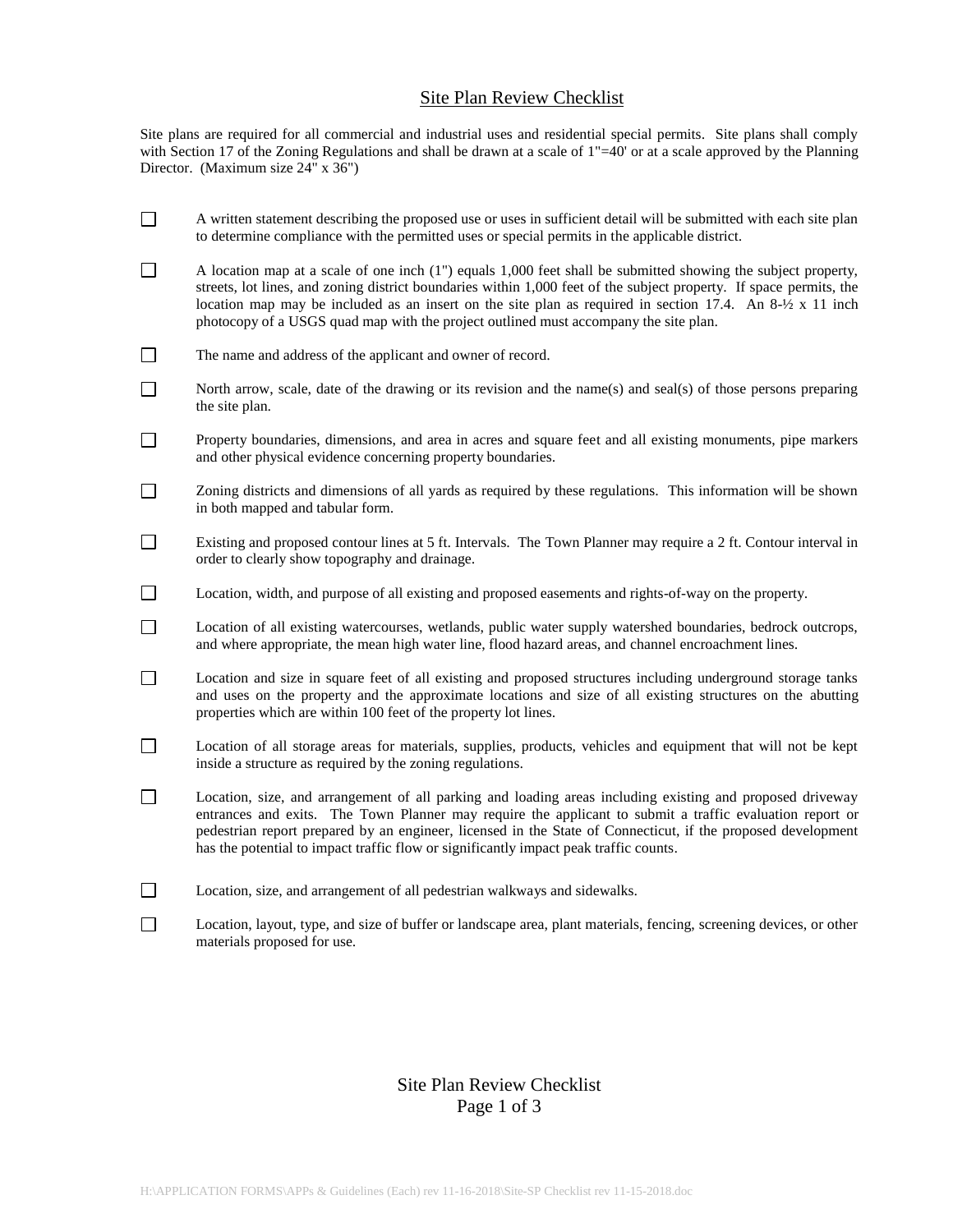## Site Plan Review Checklist

Site plans are required for all commercial and industrial uses and residential special permits. Site plans shall comply with Section 17 of the Zoning Regulations and shall be drawn at a scale of 1"=40' or at a scale approved by the Planning Director. (Maximum size 24" x 36")

- $\Box$ A written statement describing the proposed use or uses in sufficient detail will be submitted with each site plan to determine compliance with the permitted uses or special permits in the applicable district.
- $\Box$ A location map at a scale of one inch (1") equals 1,000 feet shall be submitted showing the subject property, streets, lot lines, and zoning district boundaries within 1,000 feet of the subject property. If space permits, the location map may be included as an insert on the site plan as required in section 17.4. An 8-½ x 11 inch photocopy of a USGS quad map with the project outlined must accompany the site plan.
- $\Box$ The name and address of the applicant and owner of record.
- $\Box$ North arrow, scale, date of the drawing or its revision and the name(s) and seal(s) of those persons preparing the site plan.
- $\Box$ Property boundaries, dimensions, and area in acres and square feet and all existing monuments, pipe markers and other physical evidence concerning property boundaries.
- $\Box$ Zoning districts and dimensions of all yards as required by these regulations. This information will be shown in both mapped and tabular form.
- $\Box$ Existing and proposed contour lines at 5 ft. Intervals. The Town Planner may require a 2 ft. Contour interval in order to clearly show topography and drainage.
- $\Box$ Location, width, and purpose of all existing and proposed easements and rights-of-way on the property.
- $\Box$ Location of all existing watercourses, wetlands, public water supply watershed boundaries, bedrock outcrops, and where appropriate, the mean high water line, flood hazard areas, and channel encroachment lines.
- $\Box$ Location and size in square feet of all existing and proposed structures including underground storage tanks and uses on the property and the approximate locations and size of all existing structures on the abutting properties which are within 100 feet of the property lot lines.
- $\Box$ Location of all storage areas for materials, supplies, products, vehicles and equipment that will not be kept inside a structure as required by the zoning regulations.
- $\Box$ Location, size, and arrangement of all parking and loading areas including existing and proposed driveway entrances and exits. The Town Planner may require the applicant to submit a traffic evaluation report or pedestrian report prepared by an engineer, licensed in the State of Connecticut, if the proposed development has the potential to impact traffic flow or significantly impact peak traffic counts.
- $\Box$ Location, size, and arrangement of all pedestrian walkways and sidewalks.
- $\Box$ Location, layout, type, and size of buffer or landscape area, plant materials, fencing, screening devices, or other materials proposed for use.

## Site Plan Review Checklist Page 1 of 3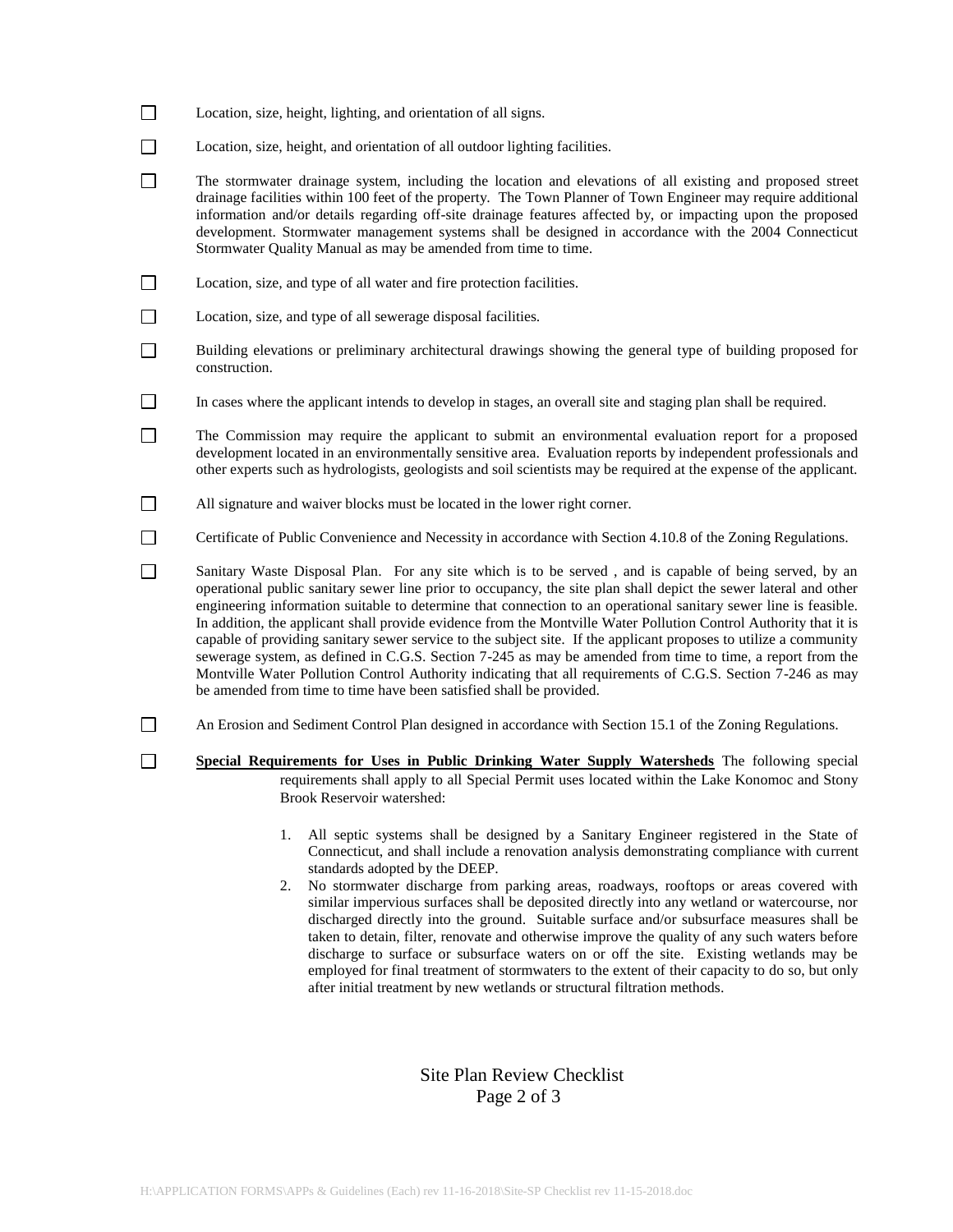- $\Box$ Location, size, height, lighting, and orientation of all signs.
- $\Box$ Location, size, height, and orientation of all outdoor lighting facilities.
- $\Box$ The stormwater drainage system, including the location and elevations of all existing and proposed street drainage facilities within 100 feet of the property. The Town Planner of Town Engineer may require additional information and/or details regarding off-site drainage features affected by, or impacting upon the proposed development. Stormwater management systems shall be designed in accordance with the 2004 Connecticut Stormwater Quality Manual as may be amended from time to time.
- $\Box$ Location, size, and type of all water and fire protection facilities.
- $\Box$ Location, size, and type of all sewerage disposal facilities.

 $\Box$ 

- $\Box$ Building elevations or preliminary architectural drawings showing the general type of building proposed for construction.
- $\Box$ In cases where the applicant intends to develop in stages, an overall site and staging plan shall be required.
- $\Box$ The Commission may require the applicant to submit an environmental evaluation report for a proposed development located in an environmentally sensitive area. Evaluation reports by independent professionals and other experts such as hydrologists, geologists and soil scientists may be required at the expense of the applicant.
- $\Box$ All signature and waiver blocks must be located in the lower right corner.
- $\Box$ Certificate of Public Convenience and Necessity in accordance with Section 4.10.8 of the Zoning Regulations.

 $\Box$ Sanitary Waste Disposal Plan. For any site which is to be served , and is capable of being served, by an operational public sanitary sewer line prior to occupancy, the site plan shall depict the sewer lateral and other engineering information suitable to determine that connection to an operational sanitary sewer line is feasible. In addition, the applicant shall provide evidence from the Montville Water Pollution Control Authority that it is capable of providing sanitary sewer service to the subject site. If the applicant proposes to utilize a community sewerage system, as defined in C.G.S. Section 7-245 as may be amended from time to time, a report from the Montville Water Pollution Control Authority indicating that all requirements of C.G.S. Section 7-246 as may be amended from time to time have been satisfied shall be provided.

- $\Box$ An Erosion and Sediment Control Plan designed in accordance with Section 15.1 of the Zoning Regulations.
	- **Special Requirements for Uses in Public Drinking Water Supply Watersheds** The following special requirements shall apply to all Special Permit uses located within the Lake Konomoc and Stony Brook Reservoir watershed:
		- 1. All septic systems shall be designed by a Sanitary Engineer registered in the State of Connecticut, and shall include a renovation analysis demonstrating compliance with current standards adopted by the DEEP.
		- 2. No stormwater discharge from parking areas, roadways, rooftops or areas covered with similar impervious surfaces shall be deposited directly into any wetland or watercourse, nor discharged directly into the ground. Suitable surface and/or subsurface measures shall be taken to detain, filter, renovate and otherwise improve the quality of any such waters before discharge to surface or subsurface waters on or off the site. Existing wetlands may be employed for final treatment of stormwaters to the extent of their capacity to do so, but only after initial treatment by new wetlands or structural filtration methods.

## Site Plan Review Checklist Page 2 of 3